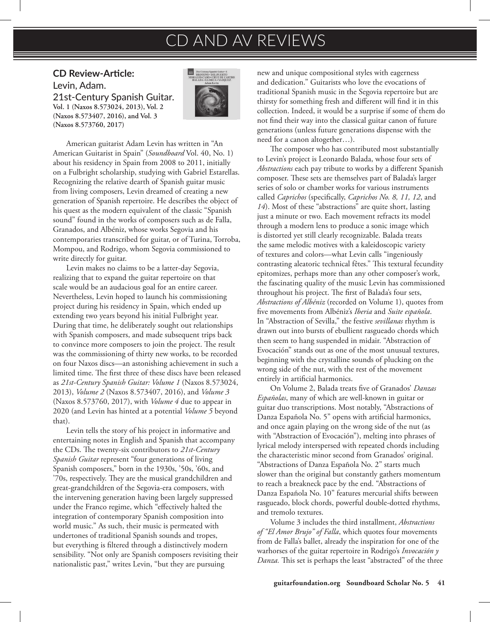## CD AND AV REVIEWS

**CD Review-Article:**  Levin, Adam. 21st-Century Spanish Guitar. **Vol. 1 (Naxos 8.573024, 2013), Vol. 2 (Naxos 8.573407, 2016), and Vol. 3 (Naxos 8.573760, 2017)**



American guitarist Adam Levin has written in "An American Guitarist in Spain" (*Soundboard* Vol. 40, No. 1) about his residency in Spain from 2008 to 2011, initially on a Fulbright scholarship, studying with Gabriel Estarellas. Recognizing the relative dearth of Spanish guitar music from living composers, Levin dreamed of creating a new generation of Spanish repertoire. He describes the object of his quest as the modern equivalent of the classic "Spanish sound" found in the works of composers such as de Falla, Granados, and Albéniz, whose works Segovia and his contemporaries transcribed for guitar, or of Turina, Torroba, Mompou, and Rodrigo, whom Segovia commissioned to write directly for guitar.

Levin makes no claims to be a latter-day Segovia, realizing that to expand the guitar repertoire on that scale would be an audacious goal for an entire career. Nevertheless, Levin hoped to launch his commissioning project during his residency in Spain, which ended up extending two years beyond his initial Fulbright year. During that time, he deliberately sought out relationships with Spanish composers, and made subsequent trips back to convince more composers to join the project. The result was the commissioning of thirty new works, to be recorded on four Naxos discs—an astonishing achievement in such a limited time. The first three of these discs have been released as *21st-Century Spanish Guitar: Volume 1* (Naxos 8.573024, 2013), *Volume 2* (Naxos 8.573407, 2016), and *Volume 3*  (Naxos 8.573760, 2017), with *Volume 4* due to appear in 2020 (and Levin has hinted at a potential *Volume 5* beyond that).

Levin tells the story of his project in informative and entertaining notes in English and Spanish that accompany the CDs. The twenty-six contributors to *21st-Century Spanish Guitar* represent "four generations of living Spanish composers," born in the 1930s, '50s, '60s, and '70s, respectively. They are the musical grandchildren and great-grandchildren of the Segovia-era composers, with the intervening generation having been largely suppressed under the Franco regime, which "effectively halted the integration of contemporary Spanish composition into world music." As such, their music is permeated with undertones of traditional Spanish sounds and tropes, but everything is filtered through a distinctively modern sensibility. "Not only are Spanish composers revisiting their nationalistic past," writes Levin, "but they are pursuing

new and unique compositional styles with eagerness and dedication." Guitarists who love the evocations of traditional Spanish music in the Segovia repertoire but are thirsty for something fresh and different will find it in this collection. Indeed, it would be a surprise if some of them do not find their way into the classical guitar canon of future generations (unless future generations dispense with the need for a canon altogether…).

The composer who has contributed most substantially to Levin's project is Leonardo Balada, whose four sets of *Abstractions* each pay tribute to works by a different Spanish composer. These sets are themselves part of Balada's larger series of solo or chamber works for various instruments called *Caprichos* (specifically, *Caprichos No. 8, 11, 12*, and *14*). Most of these "abstractions" are quite short, lasting just a minute or two. Each movement refracts its model through a modern lens to produce a sonic image which is distorted yet still clearly recognizable. Balada treats the same melodic motives with a kaleidoscopic variety of textures and colors—what Levin calls "ingeniously contrasting aleatoric technical fêtes." This textural fecundity epitomizes, perhaps more than any other composer's work, the fascinating quality of the music Levin has commissioned throughout his project. The first of Balada's four sets, *Abstractions of Albéniz* (recorded on Volume 1), quotes from five movements from Albéniz's *Iberia* and *Suite española*. In "Abstraction of Sevilla," the festive *sevillanas* rhythm is drawn out into bursts of ebullient rasgueado chords which then seem to hang suspended in midair. "Abstraction of Evocación" stands out as one of the most unusual textures, beginning with the crystalline sounds of plucking on the wrong side of the nut, with the rest of the movement entirely in artificial harmonics.

On Volume 2, Balada treats five of Granados' *Danzas Españolas*, many of which are well-known in guitar or guitar duo transcriptions. Most notably, "Abstractions of Danza Española No. 5" opens with artificial harmonics, and once again playing on the wrong side of the nut (as with "Abstraction of Evocación"), melting into phrases of lyrical melody interspersed with repeated chords including the characteristic minor second from Granados' original. "Abstractions of Danza Española No. 2" starts much slower than the original but constantly gathers momentum to reach a breakneck pace by the end. "Abstractions of Danza Española No. 10" features mercurial shifts between rasgueado, block chords, powerful double-dotted rhythms, and tremolo textures.

Volume 3 includes the third installment, *Abstractions of "El Amor Brujo" of Falla*, which quotes four movements from de Falla's ballet, already the inspiration for one of the warhorses of the guitar repertoire in Rodrigo's *Invocación y Danza.* This set is perhaps the least "abstracted" of the three